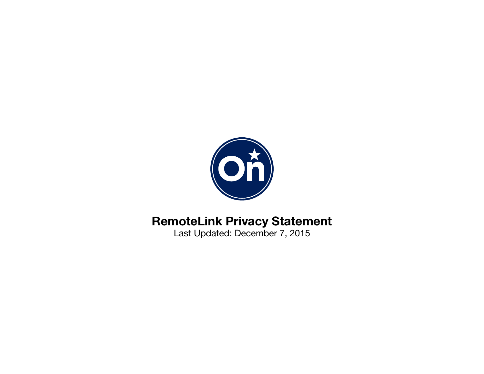

# **RemoteLink Privacy Statement**

Last Updated: December 7, 2015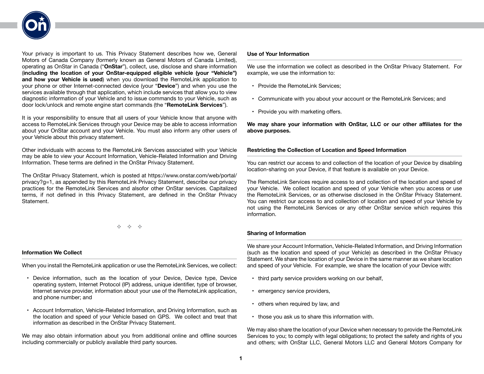

Your privacy is important to us. This Privacy Statement describes how we, General Motors of Canada Company (formerly known as General Motors of Canada Limited), operating as OnStar in Canada ("**OnStar**"), collect, use, disclose and share information (**including the location of your OnStar-equipped eligible vehicle (your "Vehicle") and how your Vehicle is used**) when you download the RemoteLink application to your phone or other Internet-connected device (your "**Device**") and when you use the services available through that application, which include services that allow you to view diagnostic information of your Vehicle and to issue commands to your Vehicle, such as door lock/unlock and remote engine start commands (the "**RemoteLink Services**").

It is your responsibility to ensure that all users of your Vehicle know that anyone with access to RemoteLink Services through your Device may be able to access information about your OnStar account and your Vehicle. You must also inform any other users of your Vehicle about this privacy statement.

Other individuals with access to the RemoteLink Services associated with your Vehicle may be able to view your Account Information, Vehicle-Related Information and Driving Information. These terms are defined in the OnStar Privacy Statement.

The OnStar Privacy Statement, which is posted at https://www.onstar.com/web/portal/ privacy?g=1, as appended by this RemoteLink Privacy Statement, describe our privacy practices for the RemoteLink Services and alsofor other OnStar services. Capitalized terms, if not defined in this Privacy Statement, are defined in the OnStar Privacy Statement.

 $\psi_2 = \psi_2 = \psi_2$ 

# **Information We Collect**

When you install the RemoteLink application or use the RemoteLink Services, we collect:

- Device information, such as the location of your Device, Device type, Device operating system, Internet Protocol (IP) address, unique identifier, type of browser, Internet service provider, information about your use of the RemoteLink application, and phone number; and
- Account Information, Vehicle-Related Information, and Driving Information, such as the location and speed of your Vehicle based on GPS. We collect and treat that information as described in the OnStar Privacy Statement.

We may also obtain information about you from additional online and offline sources including commercially or publicly available third party sources.

#### **Use of Your Information**

We use the information we collect as described in the OnStar Privacy Statement. For example, we use the information to:

- Provide the RemoteLink Services;
- Communicate with you about your account or the RemoteLink Services; and
- Provide you with marketing offers.

**We may share your information with OnStar, LLC or our other affiliates for the above purposes.**

# **Restricting the Collection of Location and Speed Information**

You can restrict our access to and collection of the location of your Device by disabling location-sharing on your Device, if that feature is available on your Device.

The RemoteLink Services require access to and collection of the location and speed of your Vehicle. We collect location and speed of your Vehicle when you access or use the RemoteLink Services, or as otherwise disclosed in the OnStar Privacy Statement. You can restrict our access to and collection of location and speed of your Vehicle by not using the RemoteLink Services or any other OnStar service which requires this information.

# **Sharing of Information**

We share your Account Information, Vehicle-Related Information, and Driving Information (such as the location and speed of your Vehicle) as described in the OnStar Privacy Statement. We share the location of your Device in the same manner as we share location and speed of your Vehicle. For example, we share the location of your Device with:

- third party service providers working on our behalf,
- emergency service providers,
- others when required by law, and
- those you ask us to share this information with.

We may also share the location of your Device when necessary to provide the RemoteLink Services to you; to comply with legal obligations; to protect the safety and rights of you and others; with OnStar LLC, General Motors LLC and General Motors Company for